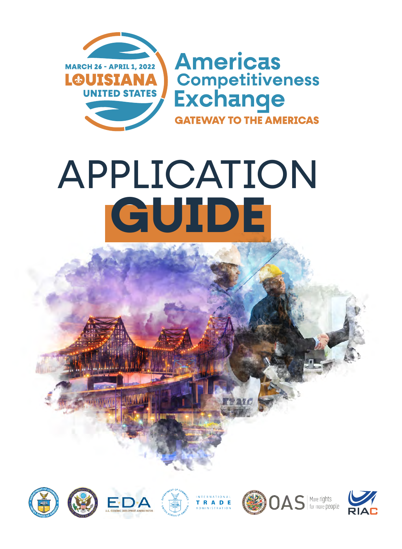

# APPLICATION **GUIDE**







INTERNATIONAL<br>T R A D E



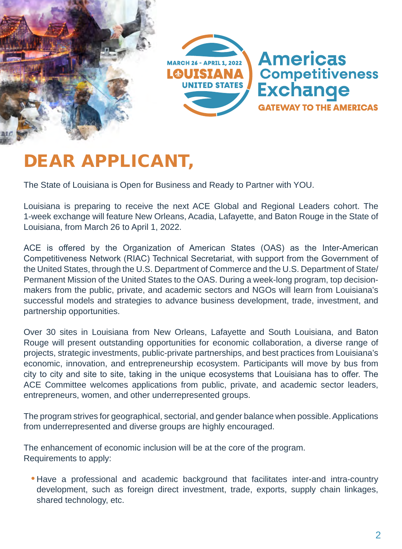

# DEAR APPLICANT,

The State of Louisiana is Open for Business and Ready to Partner with YOU.

The State of Louisiana is Open for Business and Ready to Partner with YOU.<br>Louisiana is preparing to receive the next ACE Global and Regional Leaders cohort. The 1-week exchange will feature New Orleans, Acadia, Lafayette, and Baton Rouge in the State of Louisiana, from March 26 to April 1, 2022.

ACE is offered by the Organization of American States (OAS) as the Inter-American Competitiveness Network (RIAC) Technical Secretariat, with support from the Government of the United States, through the U.S. Department of Commerce and the U.S. Department of State/ Permanent Mission of the United States to the OAS. During a week-long program, top decisionmakers from the public, private, and academic sectors and NGOs will learn from Louisiana's successful models and strategies to advance business development, trade, investment, and partnership opportunities.

Over 30 sites in Louisiana from New Orleans, Lafayette and South Louisiana, and Baton Rouge will present outstanding opportunities for economic collaboration, a diverse range of projects, strategic investments, public-private partnerships, and best practices from Louisiana's economic, innovation, and entrepreneurship ecosystem. Participants will move by bus from city to city and site to site, taking in the unique ecosystems that Louisiana has to offer. The ACE Committee welcomes applications from public, private, and academic sector leaders, entrepreneurs, women, and other underrepresented groups.

The program strives for geographical, sectorial, and gender balance when possible. Applications from underrepresented and diverse groups are highly encouraged.

The enhancement of economic inclusion will be at the core of the program. Requirements to apply:

• Have a professional and academic background that facilitates inter-and intra-country development, such as foreign direct investment, trade, exports, supply chain linkages, shared technology, etc.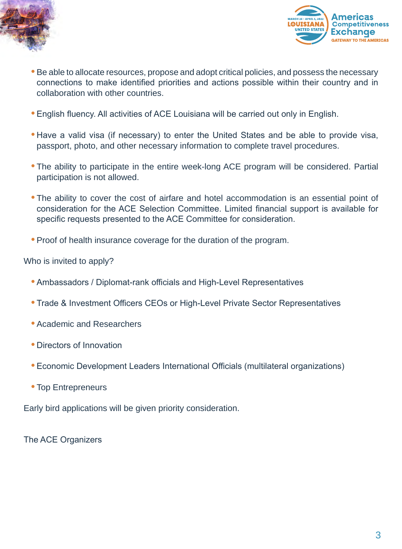



- Be able to allocate resources, propose and adopt critical policies, and possess the necessary • Be able to allocate resources, propose and adopt critical policies, and possess the necessary connections to make identified priorities and actions possible within their country and in collaboration with other countries.
- English fluency. All activities of ACE Louisiana will be carried out only in English.
- Have a valid visa (if necessary) to enter the United States and be able to provide visa, passport, photo, and other necessary information to complete travel procedures.
- The ability to participate in the entire week-long ACE program will be considered. Partial participation is not allowed.
- The ability to cover the cost of airfare and hotel accommodation is an essential point of consideration for the ACE Selection Committee. Limited financial support is available for specific requests presented to the ACE Committee for consideration.
- Proof of health insurance coverage for the duration of the program.

Who is invited to apply?

- Ambassadors / Diplomat-rank officials and High-Level Representatives
- Trade & Investment Officers CEOs or High-Level Private Sector Representatives
- Academic and Researchers
- Directors of Innovation
- Economic Development Leaders International Officials (multilateral organizations)
- Top Entrepreneurs

Early bird applications will be given priority consideration.

The ACE Organizers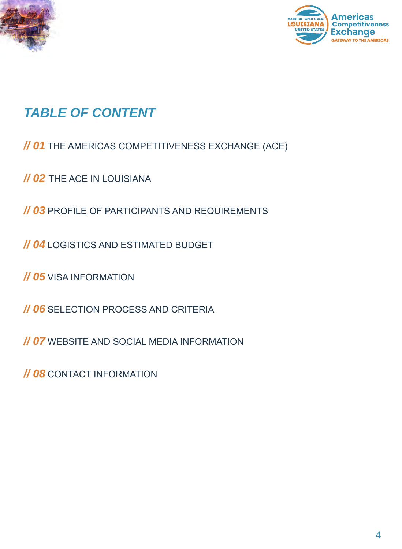



# *TABLE OF CONTENT*

*// 01* THE AMERICAS COMPETITIVENESS EXCHANGE (ACE)

*// 02* THE ACE IN LOUISIANA

*// 03* PROFILE OF PARTICIPANTS AND REQUIREMENTS

*// 04* LOGISTICS AND ESTIMATED BUDGET

*// 05* VISA INFORMATION

*// 06* SELECTION PROCESS AND CRITERIA

*// 07* WEBSITE AND SOCIAL MEDIA INFORMATION

*// 08* CONTACT INFORMATION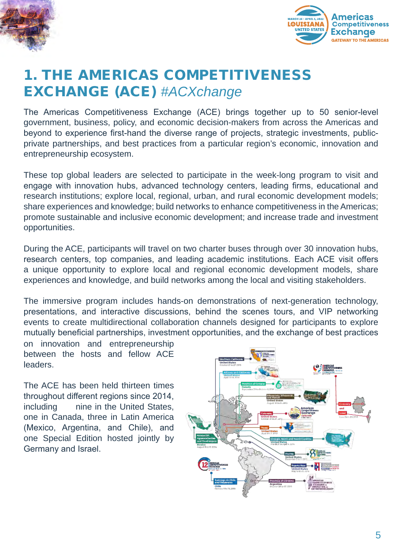



# **APPLICATION 1. THE AMERICAS COMPETITIVENESS** EXCHANGE (ACE) *#ACXchange*

The Americas Competitiveness Exchange (ACE) brings together up to 50 senior-level government, business, policy, and economic decision-makers from across the Americas and beyond to experience first-hand the diverse range of projects, strategic investments, publicprivate partnerships, and best practices from a particular region's economic, innovation and entrepreneurship ecosystem.

These top global leaders are selected to participate in the week-long program to visit and engage with innovation hubs, advanced technology centers, leading firms, educational and research institutions; explore local, regional, urban, and rural economic development models; share experiences and knowledge; build networks to enhance competitiveness in the Americas; promote sustainable and inclusive economic development; and increase trade and investment opportunities.

During the ACE, participants will travel on two charter buses through over 30 innovation hubs, research centers, top companies, and leading academic institutions. Each ACE visit offers a unique opportunity to explore local and regional economic development models, share experiences and knowledge, and build networks among the local and visiting stakeholders.

The immersive program includes hands-on demonstrations of next-generation technology, presentations, and interactive discussions, behind the scenes tours, and VIP networking events to create multidirectional collaboration channels designed for participants to explore mutually beneficial partnerships, investment opportunities, and the exchange of best practices

on innovation and entrepreneurship between the hosts and fellow ACE leaders.

The ACE has been held thirteen times throughout different regions since 2014, including in the United States. one in Canada, three in Latin America (Mexico, Argentina, and Chile), and one Special Edition hosted jointly by Germany and Israel.

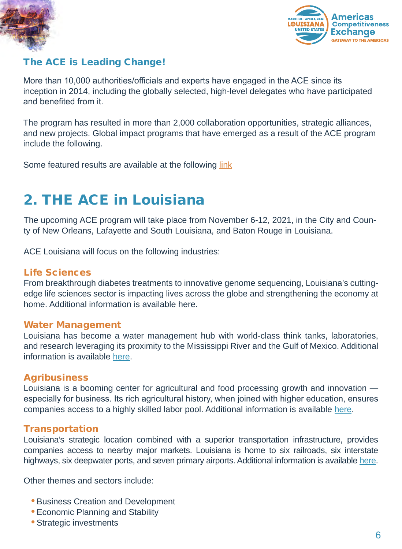



## The ACE is Leading Change!

More than 10,000 authorities/officials and experts have engaged in the ACE since its inception in 2014, including the globally selected, high-level delegates who have participated and benefited from it.

The program has resulted in more than 2,000 collaboration opportunities, strategic alliances, and new projects. Global impact programs that have emerged as a result of the ACE program include the following.

Some featured results are available at the following [link](http://riacevents.org/ACE/?page_id=4056)

# 2. THE ACE in Louisiana

The upcoming ACE program will take place from November 6-12, 2021, in the City and County of New Orleans, Lafayette and South Louisiana, and Baton Rouge in Louisiana.

ACE Louisiana will focus on the following industries:

## Life Sciences

From breakthrough diabetes treatments to innovative genome sequencing, Louisiana's cuttingedge life sciences sector is impacting lives across the globe and strengthening the economy at home. Additional information is available here.

### Water Management

Louisiana has become a water management hub with world-class think tanks, laboratories, and research leveraging its proximity to the Mississippi River and the Gulf of Mexico. Additional information is available [here.](https://www.opportunitylouisiana.com/key-industries/water-management)

### **Agribusiness**

Louisiana is a booming center for agricultural and food processing growth and innovation especially for business. Its rich agricultural history, when joined with higher education, ensures companies access to a highly skilled labor pool. Additional information is available [here](https://www.opportunitylouisiana.com/key-industries/agribusiness).

### **Transportation**

Louisiana's strategic location combined with a superior transportation infrastructure, provides companies access to nearby major markets. Louisiana is home to six railroads, six interstate highways, six deepwater ports, and seven primary airports. Additional information is available [here](https://louisianasiteselection.com/led).

Other themes and sectors include:

- Business Creation and Development
- Economic Planning and Stability
- Strategic investments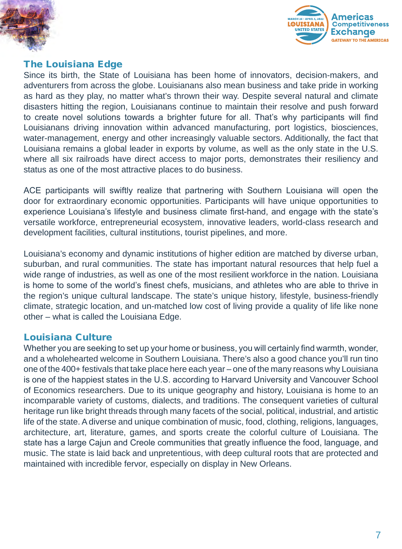

## The Louisiana Edge

Since its birth, the State of Louisiana has been home of innovators, decision-makers, and<br>adventurers from across the globe. Louisianans also mean business and take pride in working adventurers from across the globe. Louisianans also mean business and take pride in working as hard as they play, no matter what's thrown their way. Despite several natural and climate disasters hitting the region, Louisianans continue to maintain their resolve and push forward to create novel solutions towards a brighter future for all. That's why participants will find Louisianans driving innovation within advanced manufacturing, port logistics, biosciences, water-management, energy and other increasingly valuable sectors. Additionally, the fact that Louisiana remains a global leader in exports by volume, as well as the only state in the U.S. where all six railroads have direct access to major ports, demonstrates their resiliency and status as one of the most attractive places to do business.

ACE participants will swiftly realize that partnering with Southern Louisiana will open the door for extraordinary economic opportunities. Participants will have unique opportunities to experience Louisiana's lifestyle and business climate first-hand, and engage with the state's versatile workforce, entrepreneurial ecosystem, innovative leaders, world-class research and development facilities, cultural institutions, tourist pipelines, and more.

Louisiana's economy and dynamic institutions of higher edition are matched by diverse urban, suburban, and rural communities. The state has important natural resources that help fuel a wide range of industries, as well as one of the most resilient workforce in the nation. Louisiana is home to some of the world's finest chefs, musicians, and athletes who are able to thrive in the region's unique cultural landscape. The state's unique history, lifestyle, business-friendly climate, strategic location, and un-matched low cost of living provide a quality of life like none other – what is called the Louisiana Edge.

## Louisiana Culture

Whether you are seeking to set up your home or business, you will certainly find warmth, wonder, and a wholehearted welcome in Southern Louisiana. There's also a good chance you'll run tino one of the 400+ festivals that take place here each year – one of the many reasons why Louisiana is one of the happiest states in the U.S. according to Harvard University and Vancouver School of Economics researchers. Due to its unique geography and history, Louisiana is home to an incomparable variety of customs, dialects, and traditions. The consequent varieties of cultural heritage run like bright threads through many facets of the social, political, industrial, and artistic life of the state. A diverse and unique combination of music, food, clothing, religions, languages, architecture, art, literature, games, and sports create the colorful culture of Louisiana. The state has a large Cajun and Creole communities that greatly influence the food, language, and music. The state is laid back and unpretentious, with deep cultural roots that are protected and maintained with incredible fervor, especially on display in New Orleans.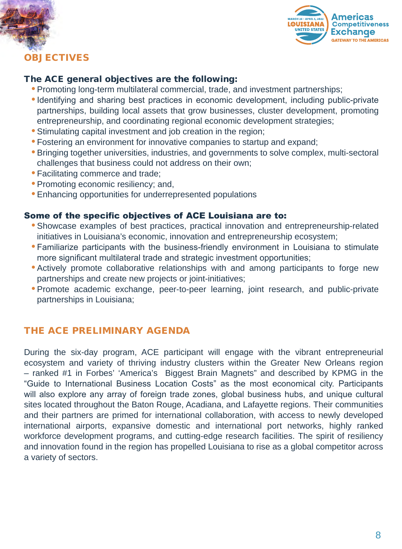



## The ACE general objectives are the following:

- **Freebing** • Promoting long-term multilateral commercial, trade, and investment partnerships;
- Identifying and sharing best practices in economic development, including public-private partnerships, building local assets that grow businesses, cluster development, promoting entrepreneurship, and coordinating regional economic development strategies;
- Stimulating capital investment and job creation in the region;
- Fostering an environment for innovative companies to startup and expand;
- Bringing together universities, industries, and governments to solve complex, multi-sectoral challenges that business could not address on their own;
- Facilitating commerce and trade;
- Promoting economic resiliency; and,
- Enhancing opportunities for underrepresented populations

### Some of the specific objectives of ACE Louisiana are to:

- Showcase examples of best practices, practical innovation and entrepreneurship-related initiatives in Louisiana's economic, innovation and entrepreneurship ecosystem;
- Familiarize participants with the business-friendly environment in Louisiana to stimulate more significant multilateral trade and strategic investment opportunities;
- Actively promote collaborative relationships with and among participants to forge new partnerships and create new projects or joint-initiatives;
- Promote academic exchange, peer-to-peer learning, joint research, and public-private partnerships in Louisiana;

# THE ACE PRELIMINARY AGENDA

During the six-day program, ACE participant will engage with the vibrant entrepreneurial ecosystem and variety of thriving industry clusters within the Greater New Orleans region – ranked #1 in Forbes' 'America's Biggest Brain Magnets" and described by KPMG in the "Guide to International Business Location Costs" as the most economical city. Participants will also explore any array of foreign trade zones, global business hubs, and unique cultural sites located throughout the Baton Rouge, Acadiana, and Lafayette regions. Their communities and their partners are primed for international collaboration, with access to newly developed international airports, expansive domestic and international port networks, highly ranked workforce development programs, and cutting-edge research facilities. The spirit of resiliency and innovation found in the region has propelled Louisiana to rise as a global competitor across a variety of sectors.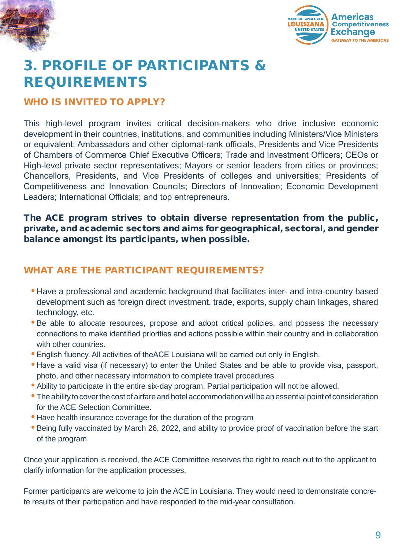



# 3. PROFILE OF PARTICIPANTS & REQUIREMENTS

## WHO IS INVITED TO APPLY?

This high-level program invites critical decision-makers who drive inclusive economic development in their countries, institutions, and communities including Ministers/Vice Ministers or equivalent; Ambassadors and other diplomat-rank officials, Presidents and Vice Presidents of Chambers of Commerce Chief Executive Officers; Trade and Investment Officers; CEOs or High-level private sector representatives; Mayors or senior leaders from cities or provinces; Chancellors, Presidents, and Vice Presidents of colleges and universities; Presidents of Competitiveness and Innovation Councils; Directors of Innovation; Economic Development Leaders; International Officials; and top entrepreneurs.

## The ACE program strives to obtain diverse representation from the public, private, and academic sectors and aims for geographical, sectoral, and gender balance amongst its participants, when possible.

## WHAT ARE THE PARTICIPANT REQUIREMENTS?

- Have a professional and academic background that facilitates inter- and intra-country based development such as foreign direct investment, trade, exports, supply chain linkages, shared technology, etc.
- Be able to allocate resources, propose and adopt critical policies, and possess the necessary connections to make identified priorities and actions possible within their country and in collaboration with other countries.
- English fluency. All activities of theACE Louisiana will be carried out only in English.
- Have a valid visa (if necessary) to enter the United States and be able to provide visa, passport, photo, and other necessary information to complete travel procedures.
- Ability to participate in the entire six-day program. Partial participation will not be allowed.
- The ability to cover the cost of airfare and hotel accommodation will be an essential point of consideration for the ACE Selection Committee.
- Have health insurance coverage for the duration of the program
- Being fully vaccinated by March 26, 2022, and ability to provide proof of vaccination before the start of the program

Once your application is received, the ACE Committee reserves the right to reach out to the applicant to clarify information for the application processes.

Former participants are welcome to join the ACE in Louisiana. They would need to demonstrate concrete results of their participation and have responded to the mid-year consultation.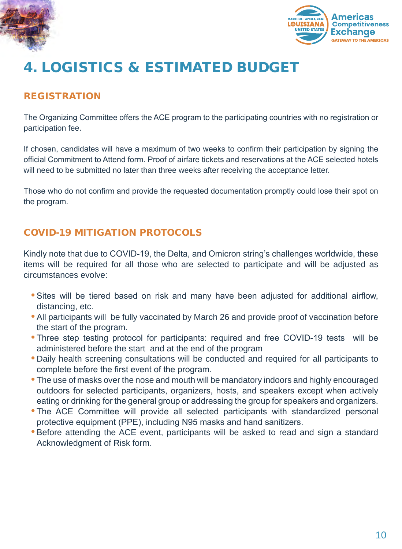

## APPLICATION **4. LOGISTICS & ESTIMATED BUDGET**

## REGISTRATION

The Organizing Committee offers the ACE program to the participating countries with no registration or participation fee.

If chosen, candidates will have a maximum of two weeks to confirm their participation by signing the official Commitment to Attend form. Proof of airfare tickets and reservations at the ACE selected hotels will need to be submitted no later than three weeks after receiving the acceptance letter.

Those who do not confirm and provide the requested documentation promptly could lose their spot on the program.

# COVID-19 MITIGATION PROTOCOLS

Kindly note that due to COVID-19, the Delta, and Omicron string's challenges worldwide, these items will be required for all those who are selected to participate and will be adjusted as circumstances evolve:

- Sites will be tiered based on risk and many have been adjusted for additional airflow, distancing, etc.
- All participants will be fully vaccinated by March 26 and provide proof of vaccination before the start of the program.
- Three step testing protocol for participants: required and free COVID-19 tests will be administered before the start and at the end of the program
- Daily health screening consultations will be conducted and required for all participants to complete before the first event of the program.
- The use of masks over the nose and mouth will be mandatory indoors and highly encouraged outdoors for selected participants, organizers, hosts, and speakers except when actively eating or drinking for the general group or addressing the group for speakers and organizers.
- The ACE Committee will provide all selected participants with standardized personal protective equipment (PPE), including N95 masks and hand sanitizers.
- Before attending the ACE event, participants will be asked to read and sign a standard Acknowledgment of Risk form.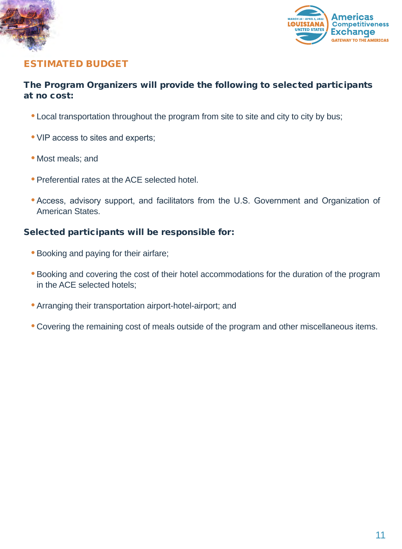



# ESTIMATED BUDGET

# **The Program Organizers will provide the following to selected participants** at no cost:

- Local transportation throughout the program from site to site and city to city by bus;
- VIP access to sites and experts;
- Most meals; and
- Preferential rates at the ACE selected hotel.
- Access, advisory support, and facilitators from the U.S. Government and Organization of American States.

## Selected participants will be responsible for:

- Booking and paying for their airfare;
- Booking and covering the cost of their hotel accommodations for the duration of the program in the ACE selected hotels;
- Arranging their transportation airport-hotel-airport; and
- Covering the remaining cost of meals outside of the program and other miscellaneous items.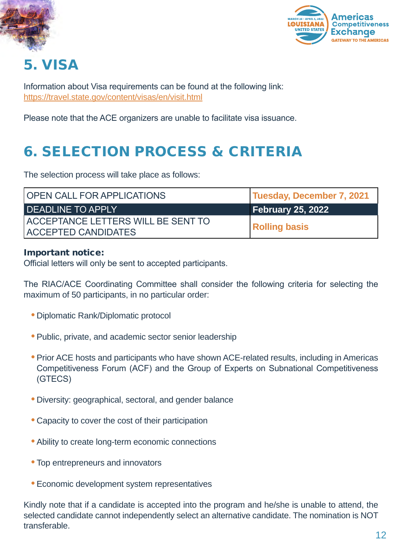



# 5. VISA

Information about Visa requirements can be found at the following link: <https://travel.state.gov/content/visas/en/visit.html>

Please note that the ACE organizers are unable to facilitate visa issuance.

# 6. SELECTION PROCESS & CRITERIA

The selection process will take place as follows:

| <b>OPEN CALL FOR APPLICATIONS</b>                                        | <b>Tuesday, December 7, 2021</b> |
|--------------------------------------------------------------------------|----------------------------------|
| <b>I DEADLINE TO APPLY</b>                                               | <b>February 25, 2022</b>         |
| <b>IACCEPTANCE LETTERS WILL BE SENT TO</b><br><b>ACCEPTED CANDIDATES</b> | <b>Rolling basis</b>             |

### Important notice:

Official letters will only be sent to accepted participants.

The RIAC/ACE Coordinating Committee shall consider the following criteria for selecting the maximum of 50 participants, in no particular order:

- Diplomatic Rank/Diplomatic protocol
- Public, private, and academic sector senior leadership
- Prior ACE hosts and participants who have shown ACE-related results, including in Americas Competitiveness Forum (ACF) and the Group of Experts on Subnational Competitiveness (GTECS)
- Diversity: geographical, sectoral, and gender balance
- Capacity to cover the cost of their participation
- Ability to create long-term economic connections
- Top entrepreneurs and innovators
- Economic development system representatives

Kindly note that if a candidate is accepted into the program and he/she is unable to attend, the selected candidate cannot independently select an alternative candidate. The nomination is NOT transferable.